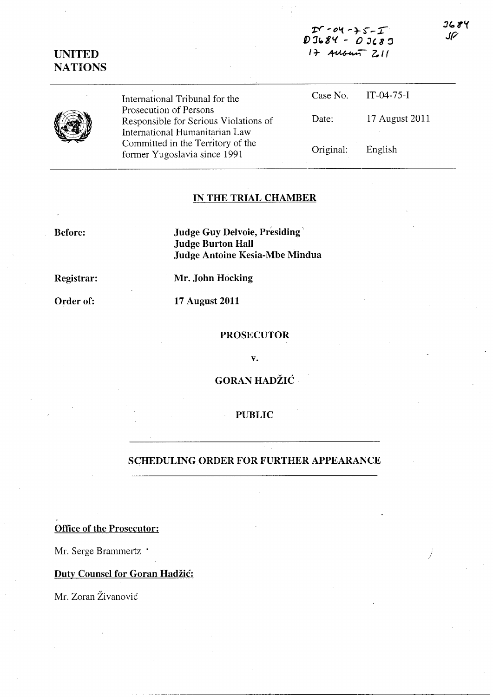*r:r* **,. 0'1 -** ~ ~ - r **I)** *11081.(* **-** *0* **J, 8** <sup>~</sup> **l' ~ 04 - + 5 - I**<br>3684 - 03683<br>1+ Aubun 211

# **UNITED NATIONS**



International Tribunal for the Prosecution of Persons Responsible for Serious Violations of International Humanitarian Law Committed in the Territory of the former Yugoslavia since 1991

| Case No.  | $IT-04-75-I$   |
|-----------|----------------|
| Date:     | 17 August 2011 |
| Original: | English        |

### IN **THE TRIAL CHAMBER**

**Before:** 

**Judge Guy Delvoie, Presiding' Judge Burton Hall Judge Antoine Kesia-Mbe Mindua** 

**Registrar:** 

**Mr. John Hocking** 

**Order of:** 

**17 August 2011** 

#### **PROSECUTOR**

**v.** 

## **GORAN HADZIC**

#### **PUBLIC**

### SCHEDULING ORDER **FOR FURTHER APPEARANCE**

**Office of the Prosecutor:** 

Mr. Serge Brammertz .

## **Duty Counsel for Goran Hadžić:**

Mr. Zoran Živanović

3684 JF

*j*